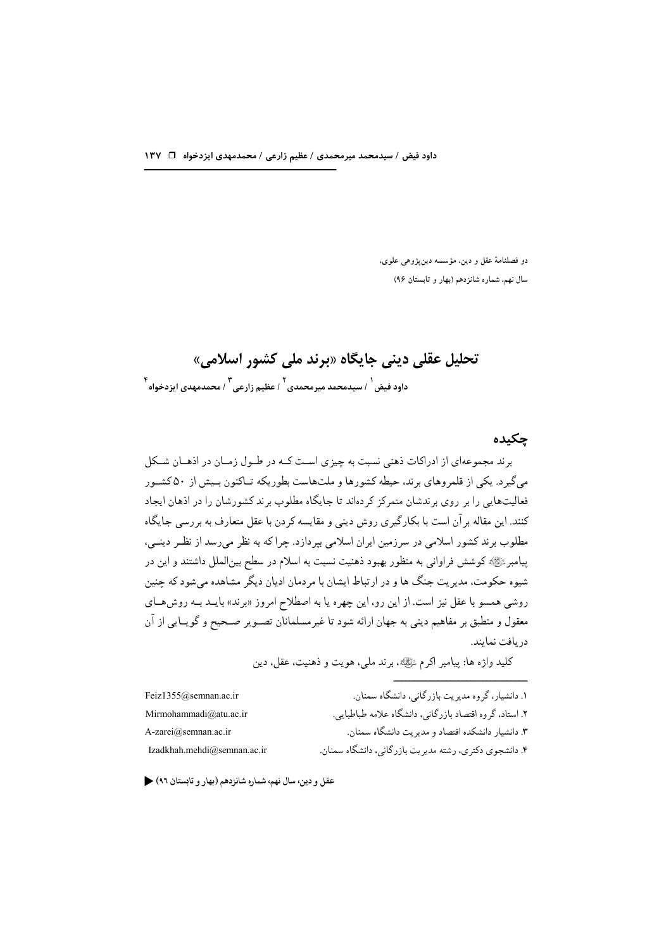دو فصلنامهٔ عقل و دین، مؤسسه دینپژوهی علوی، سال نهم، شماره شانزدهم (بهار و تابستان ۹۶)

# تحلیل عقلی دینی جایگاه «برند ملی کشور اسلامی» ۴<br>داود فیض <sup>۱</sup> سیدمحمد میرمحمدی <sup>۲</sup> عظیم زارعی ۲ محمدمهدی ایزدخواه

#### چکىدە

برند مجموعهای از ادراکات ذهنی نسبت به چیزی است کـه در طـول زمـان در اذهـان شـکل می گیرد. یکی از قلمروهای برند، حیطه کشورها و ملتهاست بطوریکه تـاکنون بـیش از ۵۰ کشـور فعالیتهایی را بر روی برندشان متمرکز کردهاند تا جایگاه مطلوب برند کشورشان را در اذهان ایجاد کنند. این مقاله بر آن است با بکارگیری روش دینی و مقایسه کردن با عقل متعارف به بر رسی جایگاه مطلوب برند کشور اسلامی در سرزمین ایران اسلامی بپردازد. چرا که به نظر میرسد از نظـر دینــی، پیامبرﷺ کوشش فراوانی به منظور بهبود ذهنیت نسبت به اسلام در سطح بینالملل داشتند و این در شیوه حکومت، مدیریت جنگ ها و در ارتباط ایشان با مردمان ادیان دیگر مشاهده می شود که چنین روشی همسو با عقل نیز است. از این رو، این چهره یا به اصطلاح امروز «برند» بایــد بــه روشهــای معقول و منطبق بر مفاهیم دینی به جهان ارائه شود تا غیرمسلمانان تصـویر صـحیح و گویـایی از آن دريافت نمايند.

كليد واژه ها: پيامبر اكرم ﷺ، برند ملي، هويت و ذهنيت، عقل، دين

| Feiz1355@semnan.ac.ir       | ١. دانشیار، گروه مدیریت بازرگانی، دانشگاه سمنان.        |
|-----------------------------|---------------------------------------------------------|
| Mirmohammadi@atu.ac.ir      | ۲. استاد، گروه اقتصاد بازرگانی، دانشگاه علامه طباطبایی. |
| A-zarei@semnan.ac.ir        | ۳. دانشیار دانشکده اقتصاد و مدیریت دانشگاه سمنان.       |
| Izadkhah.mehdi@semnan.ac.ir | ۴. دانشجوی دکتری، رشته مدیریت بازرگانی، دانشگاه سمنان.  |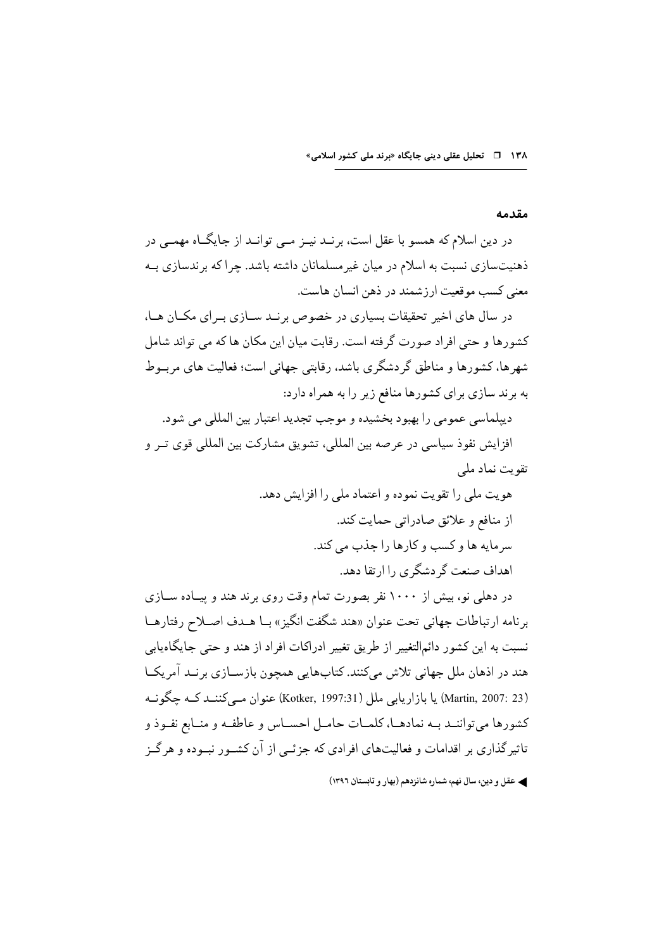#### مقدمه

در دین اسلام که همسو با عقل است، برنـد نیــز مــی توانــد از جایگــاه مهمــی در ذهنیتسازی نسبت به اسلام در میان غیر مسلمانان داشته باشد. جرا که بر ندسازی بــه معنى كسب موقعيت ارزشمند در ذهن انسان هاست.

در سال های اخیر تحقیقات بسیاری در خصوص برنـد ســازی بــرای مکــان هــا، كشورها و حتى افراد صورت گرفته است. رقابت ميان اين مكان ها كه مي تواند شامل شهرها، كشورها و مناطق گردشگرى باشد، رقابتى جهانى است؛ فعاليت هاى مربــوط به برند سازی برای کشورها منافع زیر را به همراه دارد:

ديبلماسي عمومي را بهبود بخشيده و موجب تجديد اعتبار بين المللي مي شود. افزايش نفوذ سياسي در عرصه بين المللي، تشويق مشاركت بين المللي قوى تـر و تقویت نماد ملے

> هويت ملي را تقويت نموده و اعتماد ملي را افزايش دهد. از منافع و علائق صادراتی حمایت کند. سرمایه ها و کسب و کارها را جذب می کند. اهداف صنعت گر دشگری را ارتقا دهد.

در دهلی نو، بیش از ۱۰۰۰ نفر بصورت تمام وقت روی برند هند و پیـاده ســازی برنامه ارتباطات جهاني تحت عنوان «هند شگفت انگيز » بـا هـدف اصـلاح رفتارهـا نسبت به این کشور دائمالتغییر از طریق تغییر ادراکات افراد از هند و حتی جایگاهپایی هند در اذهان ملل جهاني تلاش مي كنند. كتابهايي همچون بازســازي برنــد آمريكــا (Martin, 2007: 23) يا بازاريابي ملل (Kotker, 1997:31) عنوان مــي كننــد كــه چگونــه كشورها مى تواننـد بـه نمادهـا، كلمـات حامـل احسـاس و عاطفـه و منـابع نفـوذ و تاثیر گذاری بر اقدامات و فعالیتهای افرادی که جزئــی از آن کشــور نبــوده و هر گــز

<sup>﴾</sup> عقل و دين، سال نهم، شماره شانزدهم (بهار و تابستان ١٣٩٦)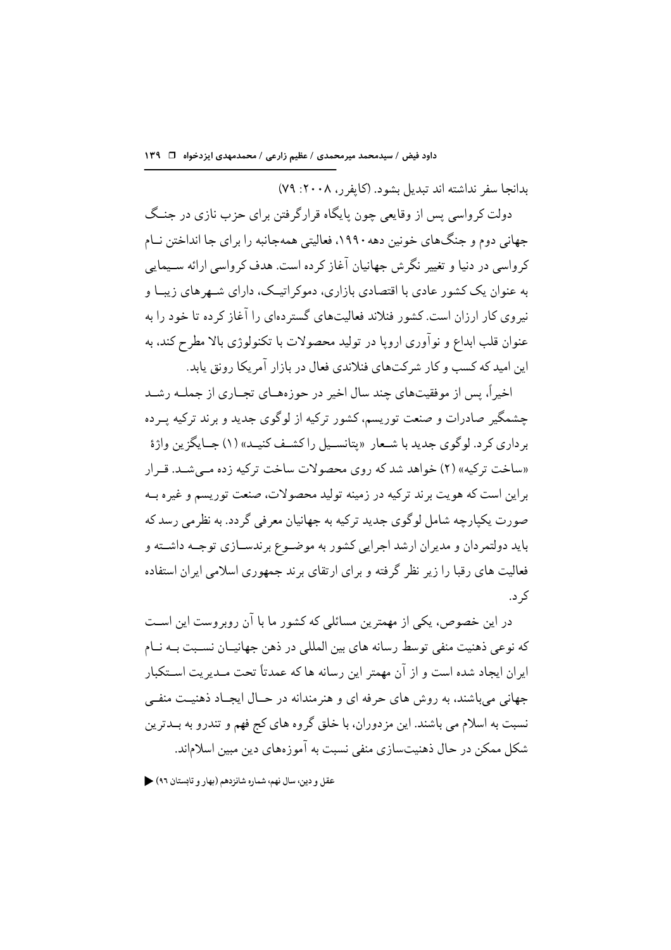بدانجا سفر نداشته اند تبدیل بشود. (کایفر ر، ۲۰۰۸: ۷۹)

دولت کر واسی پس از وقایعی چون پایگاه قرارگرفتن برای حزب نازی در جنـگ جهانی دوم و جنگهای خونین دهه ۱۹۹۰، فعالیتی همهجانبه را برای جا انداختن نـام کرواسر در دنیا و تغییر نگرش جهانیان آغاز کرده است. هدف کرواسر ارائه سـیمایر به عنوان یک کشور عادی با اقتصادی بازاری، دموکر اتیــک، دارای شــهرهای زیبــا و نیروی کار ارزان است. کشور فنلاند فعالیتهای گستر دهای را آغاز کرده تا خود را به عنوان قلب ابداع و نوآوري اروپا در توليد محصولات با تكنولوژي بالا مطرح كند، به این امید که کسب و کار شرکتهای فنلاندی فعال در بازار آمریکا رونق یابد.

اخیراً، پس از موفقیتهای چند سال اخیر در حوزههـای تجـاری از جملـه رشـد چشمگیر صادرات و صنعت توریسم، کشور ترکیه از لوگوی جدید و برند ترکیه پ ده بر داري كر د. لوگوي جديد با شـعار «پتانسـيل راكشـف كنيـد» (۱) جــايگزين واژهٔ «ساخت ترکیه» (۲) خواهد شد که روی محصولات ساخت ترکیه زده مے شـد. قـرار براين است كه هويت برند تركيه در زمينه توليد محصولات، صنعت توريسم و غيره بــه صورت یکپارچه شامل لوگوی جدید ترکیه به جهانیان معرفی گردد. به نظرمی رسد که باید دولتمردان و مدیران ارشد اجرایی کشور به موضـوع بر ندســازی توجــه داشــته و فعالیت های رقبا را زیر نظر گرفته و برای ارتقای برند جمهوری اسلامی ایران استفاده کہ د.

در این خصوص، یکی از مهمترین مسائلی که کشور ما با آن روبروست این اسـت که نوعی ذهنیت منفی توسط رسانه های بین المللی در ذهن جهانیــان نســبت بــه نــام ایران ایجاد شده است و از آن مهمتر این رسانه ها که عمدتاً تحت مـدیریت اســتکبار جهاني مي باشند، به روش هاي حرفه اي و هنر مندانه در حــال ايجــاد ذهنيــت منفــي نسبت به اسلام می باشند. این مزدوران، با خلق گروه های کج فهم و تندرو به بــدترین شکل ممکن در حال ذهنیتسازی منفی نسبت به آموزههای دین مبین اسلاماند.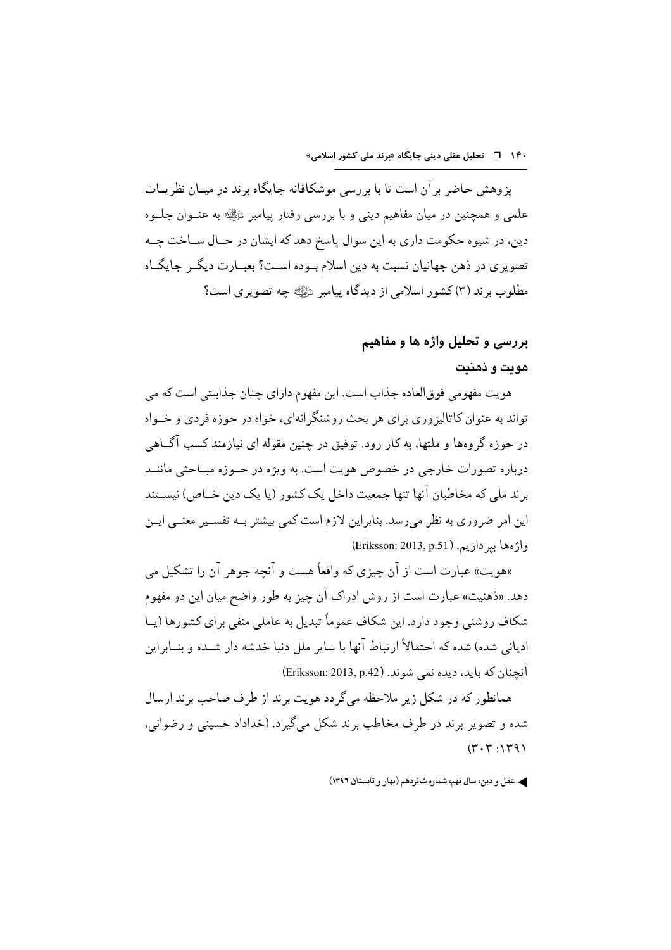یژوهش حاضر بر آن است تا با بررسی موشکافانه جایگاه برند در میـان نظریــات علمي و همچنين در ميان مفاهيم ديني و با بررسي رفتار پيامبر ﷺ به عنــوان جلــوه دین، در شیوه حکومت داری به این سوال پاسخ دهد که ایشان در حــال ســاخت جــه تصويري در ذهن جهانيان نسبت به دين اسلام بـوده اســت؟ بعبــارت ديگــر جايگــاه مطلوب برند (۳) کشور اسلامی از دیدگاه پیامبر ﷺ چه تصویری است؟

### بررسی و تحلیل واژه ها و مفاهیم

#### هويت و ذهنيت

هويت مفهومي فوقالعاده جذاب است. اين مفهوم داراي چنان جذابيتي است كه مي تواند به عنوان کاتالیز وری برای هر بحث روشنگر انهای، خواه در حوزه فردی و خـواه در حوزه گروهها و ملتها، به کار رود. توفیق در چنین مقوله ای نیازمند کسب آگLهی درباره تصورات خارجي در خصوص هويت است. به ويژه در حــوزه مبــاحثي ماننــد برند ملي كه مخاطبان آنها تنها جمعيت داخل يك كشور (يا يك دين خــاص) نيســتند این امر ضروری به نظر میرسد. بنابراین لازم است کمی بیشتر بــه تفســیر معنــی ایــن واژەها بىر دازىيە. (Eriksson: 2013, p.51)

«هويت» عبارت است از آن جيزي كه واقعاً هست و آنحه جوهر آن را تشكيل مي دهد. «ذهنيت» عبارت است از روش ادراك آن چيز به طور واضح ميان اين دو مفهوم شکاف روشنی وجود دارد. این شکاف عموماً تبدیل به عاملی منفی برای کشورها (پــا ادیانی شده) شده که احتمالاً ارتباط آنها با سایر ملل دنیا خدشه دار شــده و بنــابراین آنجنان كه بايد، ديده نمي شوند. (Eriksson: 2013, p.42)

همانطور که در شکل زیر ملاحظه می گردد هویت برند از طرف صاحب برند ارسال شده و تصوير برند در طرف مخاطب برند شكل مي گير د. (خداداد حسيني و رضواني،  $(\gamma, \gamma, \gamma, \gamma)$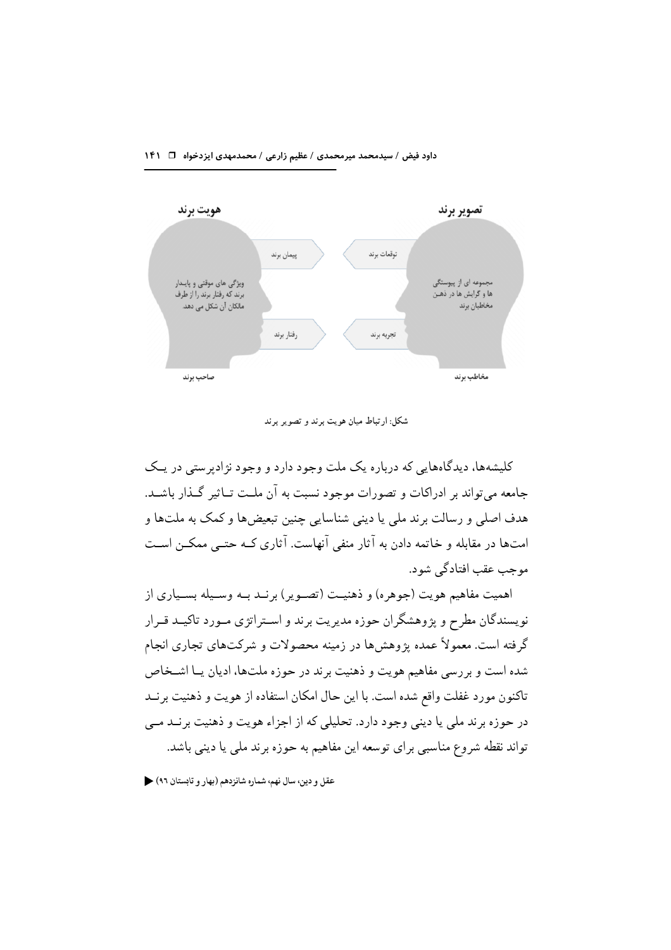#### داود فیض / سیدمحمد میرمحمدی / عظیم زارعی / محمدمهدی ایزدخواه ا⊥ ۱۴۱



شکل: ارتباط میان هویت برند و تصویر برند

کلیشهها، دیدگاههایی که درباره یک ملت وجود دارد و وجود نژادیرستی در یـک جامعه می تواند بر ادراکات و تصورات موجود نسبت به آن ملـت تــاثیر گــذار باشــد. هدف اصلی و رسالت برند ملی یا دینی شناسایی چنین تبعیضها و کمک به ملتها و امتها در مقابله و خاتمه دادن به آثار منفی آنهاست. آثاری کـه حتــی ممکــن اســت موجب عقب افتادگی شو د.

اهميت مفاهيم هويت (جوهره) و ذهنيــت (تصــوير ) برنــد بــه وســيله بســياري از نویسندگان مطرح و یژوهشگران حوزه مدیریت برند و اسـتراتژي مـورد تاکیــد قــرار گرفته است. معمولاً عمده یژوهشها در زمینه محصولات و شرکتهای تجاری انجام شده است و بررسی مفاهیم هویت و ذهنیت برند در حوزه ملتها، ادیان یــا اشــخاص تاکنون مورد غفلت واقع شده است. با این حال امکان استفاده از هویت و ذهنیت بر نــد در حوزه برند ملي يا ديني وجود دارد. تحليلي كه از اجزاء هويت و ذهنيت برنــد مــي تواند نقطه شروع مناسبی برای توسعه این مفاهیم به حوزه برند ملی یا دینی باشد.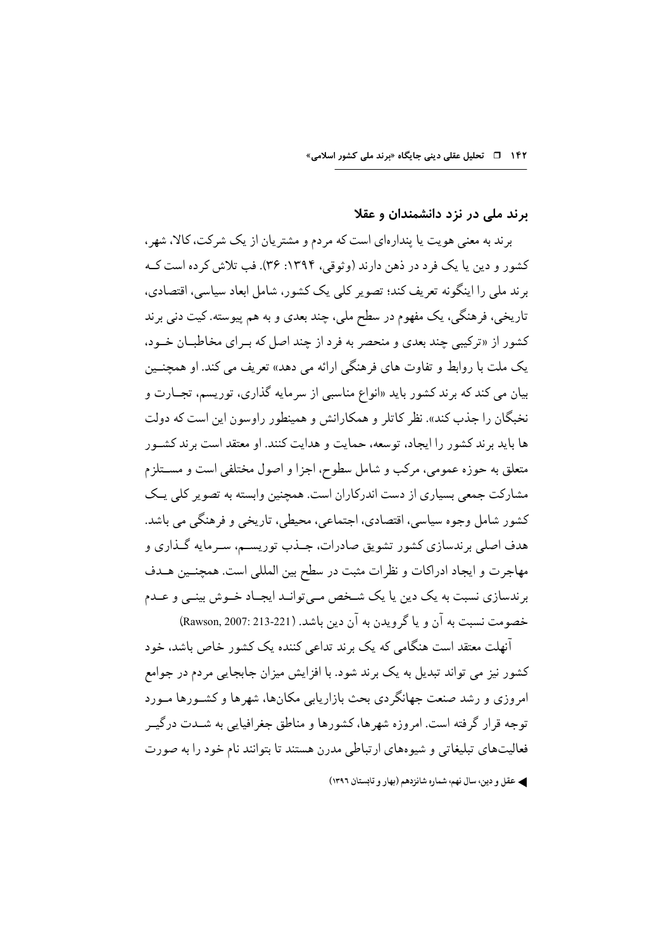### برند ملی در نزد دانشمندان و عقلا

بر ند به معنی هویت یا بندار مای است که مردم و مشتر یان از یک شرکت، کالا، شهر ، کشور و دین یا یک فرد در ذهن دارند (وثوقی، ۱۳۹۴: ۳۶). فب تلاش کر ده است کــه برند ملی را اینگونه تعریف کند؛ تصویر کلی یک کشور، شامل ابعاد سیاسی، اقتصادی، تاریخی، فرهنگی، یک مفهوم در سطح ملی، چند بعدی و به هم پیوسته. کیت دنی برند کشور از «ترکیبی چند بعدی و منحصر به فرد از چند اصل که بـرای مخاطبـان خـود، یک ملت با روابط و تفاوت های فرهنگی ارائه می دهد» تعریف می کند. او همچنــین بیان می کند که برند کشور باید «انواع مناسبی از سرمایه گذاری، توریسم، تجــارت و نخبگان را جذب کند». نظر کاتلر و همکارانش و همینطور راوسون این است که دولت ها بايد برند كشور را ايجاد، توسعه، حمايت و هدايت كنند. او معتقد است برند كشـور متعلق به حوزه عمومي، مركب و شامل سطوح، اجزا و اصول مختلفي است و مســتلزم مشارکت جمعی بسیاری از دست اندرکاران است. همچنین وابسته به تصویر کلی یـک كشور شامل وجوه سياسي، اقتصادي، اجتماعي، محيطي، تاريخي و فرهنگي مي باشد. هدف اصلي برندسازي كشور تشويق صادرات، جــذب توريســم، ســرمايه گــذاري و مهاجرت و ايجاد ادراكات و نظرات مثبت در سطح بين المللي است. همچنـين هــدف برندسازي نسبت به يک دين يا يک شـخص مـي توانـد ايجـاد خـوش بينـي و عـدم خصومت نسبت به آن و یا گرویدن به آن دین باشد. (Rawson, 2007: 213-221)

۔<br>آنهلت معتقد است هنگامی که یک برند تداعی کننده یک کشور خاص باشد، خود کشور نیز می تواند تبدیل به یک برند شود. با افزایش میزان جابجایی مردم در جوامع امروزی و رشد صنعت جهانگردی بحث بازاریابی مکانها، شهرها و کشـورها مـورد توجه قرار گرفته است. امروزه شهرها، کشورها و مناطق جغرافیایی به شــدت درگیــر فعالیتهای تبلیغاتی و شیوههای ارتباطی مدرن هستند تا بتوانند نام خود را به صورت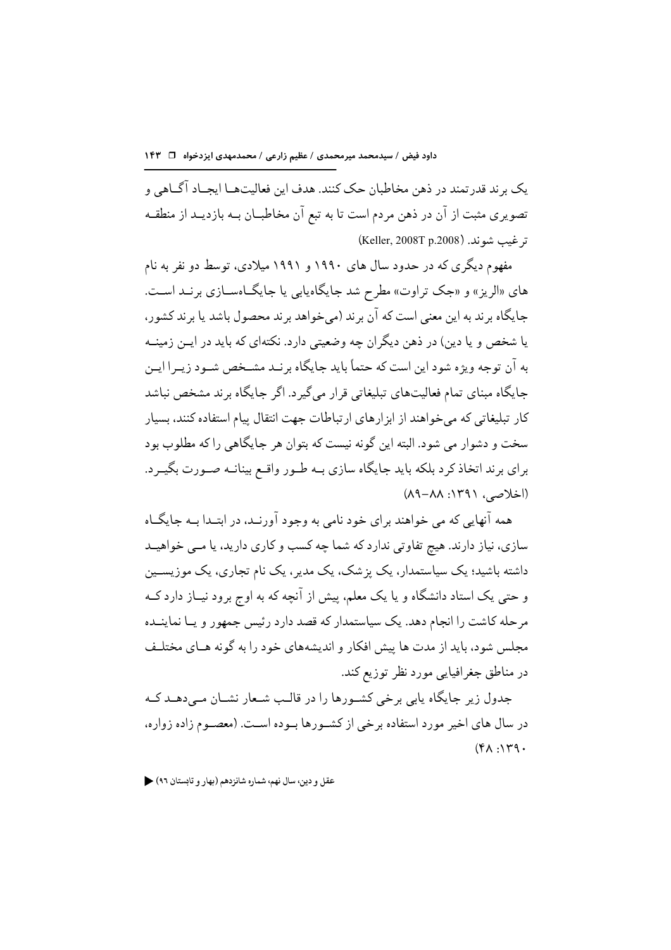يک بر ند قدر تمند در ذهن مخاطبان حک کنند. هدف اين فعاليتهــا ايجــاد آگــاهي و تصویری مثبت از آن در ذهن مردم است تا به تبع آن مخاطبــان بــه بازدیــد از منطقــه ترغيب شوند. (Keller, 2008T p.2008)

مفهوم دیگری که در حدود سال های ۱۹۹۰ و ۱۹۹۱ میلادی، توسط دو نفر به نام های «الریز» و «جک تراوت» مطرح شد جایگاه یابی یا جایگاهســازی برنــد اســت. جايگاه بر ند به اين معنى است كه آن بر ند (مي خواهد بر ند محصول باشد يا بر ند كشور، یا شخص و یا دین) در ذهن دیگران چه وضعیتی دارد. نکتهای که باید در ایــن زمینــه به آن توجه ویژه شود این است که حتماً باید جایگاه برنـد مشـخص شـود زیـرا ایـن جایگاه مبنای تمام فعالیتهای تبلیغاتی قرار می گیرد. اگر جایگاه برند مشخص نباشد کار تبلیغاتی که می خواهند از ابزارهای ارتباطات جهت انتقال پیام استفاده کنند، بسیار سخت و دشوار می شود. البته این گونه نیست که بتوان هر جایگاهی را که مطلوب بود برای برند اتخاذ کرد بلکه باید جایگاه سازی بـه طـور واقـع بینانـه صـورت بگیـرد.  $(A9 - AA : 149)$ 

همه آنهایی که می خواهند برای خود نامی به وجود آورنـد، در ابتـدا بــه جایگــاه سازی، نیاز دارند. هیچ تفاوتی ندارد که شما چه کسب و کاری دارید، یا مــی خواهیــد داشته باشید؛ یک سیاستمدار، یک یز شک، یک مدیر ، یک نام تجاری، یک موزیســین و حتی یک استاد دانشگاه و یا یک معلم، پیش از آنچه که به اوج برود نیــاز دارد کــه مرحله کاشت را انجام دهد. یک سیاستمدار که قصد دارد رئیس جمهور و یــا نماینــده مجلس شود، باید از مدت ها پیش افکار و اندیشههای خود را به گونه هـای مختلـف در مناطق جغرافيايي مورد نظر توزيع كند.

جدول زیر جایگاه پابی برخی کشورها را در قالب شـعار نشـان مـی دهــد کــه در سال های اخیر مورد استفاده برخی از کشـورها بـوده اسـت. (معصـوم زاده زواره،  $(\mathfrak{r}_A, \mathfrak{r}_A)$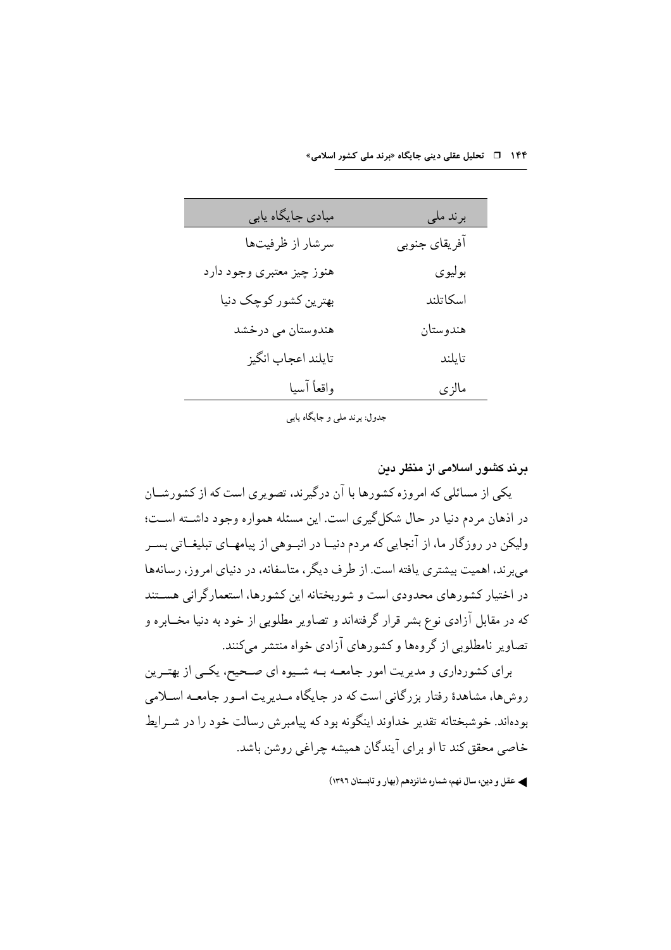| مبادی جایگاه یابی         | برند ملي      |
|---------------------------|---------------|
| سرشار از ظرفیتها          | آفريقاي جنوبي |
| هنوز چیز معتبری وجود دارد | بوليوي        |
| بهترین کشور کوچک دنیا     | اسكاتلند      |
| هندوستان مي درخشد         | هندوستان      |
| تايلند اعجاب انگيز        | تايلند        |
| واقعأ آسيا                | مالزي         |

جدول: برند ملي و جايگاه يابي

در ند کشور اسلامی از منظر ددن

یکی از مسائلی که امروزه کشورها با آن درگیرند، تصویری است که از کشورشــان در اذهان مردم دنیا در حال شکل گیری است. این مسئله همواره وجود داشــته اســت؛ ولیکن در روزگار ما، از آنجایی که مردم دنیــا در انبــوهی از پیامهــای تبلیغــاتی بســر می بر ند، اهمیت بیشتری یافته است. از طرف دیگر ، متاسفانه، در دنیای امروز، رسانهها در اختیار کشورهای محدودی است و شوربختانه این کشورها، استعمارگرانی هسـتند که در مقابل آزادی نوع بشر قرار گرفتهاند و تصاویر مطلوبی از خود به دنیا مخــابره و تصاویر نامطلوبی از گروهها و کشورهای آزادی خواه منتشر میکنند.

برای کشورداری و مدیریت امور جامعـه بـه شـیوه ای صـحیح، یکـی از بهتـرین روش ها، مشاهدهٔ رفتار بزرگانی است که در جایگاه مـدیریت امـور جامعـه اسـلامی بودهاند. خوشبختانه تقدیر خداوند اینگونه بود که پیامبرش رسالت خود را در شــرایط خاصی محقق کند تا او بر ای آیندگان همیشه چراغی روشن باشد.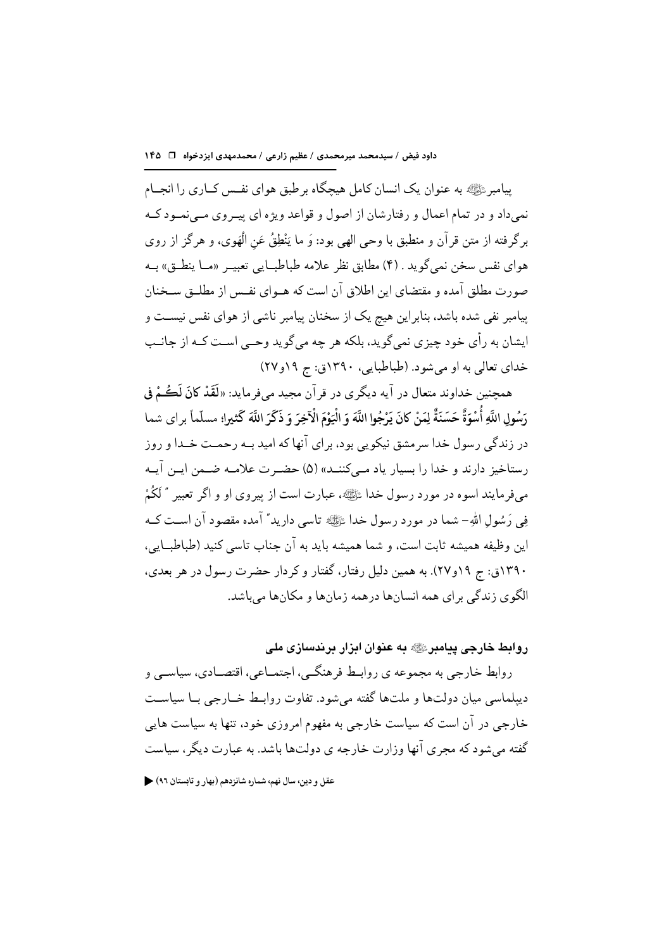پیامبر ﷺ به عنوان یک انسان کامل هیچگاه برطبق هوای نفس کــاری را انجــام نمي داد و در تمام اعمال و رفتارشان از اصول و قواعد ويژه اي پيـروي مـي نمـود كـه برگرفته از متن قرآن و منطبق با وحي الهي بود: وَ ما يَنْطِقُ عَنِ الْهَوِي، و هر گز از روي هواي نفس سخن نمي گويد . (۴) مطابق نظر علامه طباطبــايي تعبيــر «مــا ينطــق» بــه صورت مطلق آمده و مقتضای این اطلاق آن است که هــوای نفــس از مطلــق ســخنان پیامبر نفی شده باشد، بنابراین هیج یک از سخنان پیامبر ناشبی از هوای نفس نیسـت و ایشان به رأی خود چیزی نمیگوید، بلکه هر چه میگوید وحــی اسـت کــه از جانــب خداي تعالى به او مي شود. (طباطبايي، ١٣٩٠ق: ج ١٩و٢٧)

همچنین خداوند متعال در آیه دیگری در قرآن مجید میفرماید: «لَقَدْ كانَ لَكُمْ فِي رَسُولِ اللَّهِ أُسْوَةٌ حَسَنَةٌ لِمَنْ كانَ يَرْجُوا اللَّهَ وَ الْيَوْمَ الْآخِرَ وَ ذَكَرَ اللَّهَ كَثيرا؛ مسلّماً براي شما در زندگی رسول خدا سرمشق نیکویی بود، برای آنها که امید بــه رحمــت خــدا و روز رستاخیز دارند و خدا را بسیار یاد مے کننــد» (۵) حضـرت علامــه ضــمن ایــن آیــه مي فرمايند اسوه در مورد رسول خدا ﷺ، عبارت است از پيروي او و اگر تعبير ″ لَكُمْ فِي رَسُولِ اللهِ- شما در مورد رسول خدا ﷺ تاسی دارید" آمده مقصود آن اســت کــه این وظیفه همیشه ثابت است، و شما همیشه باید به آن جناب تاسی کنید (طباطبایی، ۱۳۹۰ق: ج ۱۹و۲۷). به همین دلیل رفتار، گفتار و کردار حضرت رسول در هر بعدی، الگوی زندگی برای همه انسانها درهمه زمانها و مکانها می باشد.

روابط خارجی پیامبرﷺ به عنوان ایزار پرندسازی ملی

روابط خارجي به مجموعه ي روابـط فرهنگــي، اجتمــاعي، اقتصــادي، سياســي و دیپلماسی میان دولتها و ملتها گفته می شود. تفاوت روابـط خــارجی بــا سیاســت خارجی در آن است که سیاست خارجی به مفهوم امروزی خود، تنها به سیاست هایی گفته مرشود که مجری آنها وزارت خارجه ی دولتها باشد. به عبارت دیگر، سیاست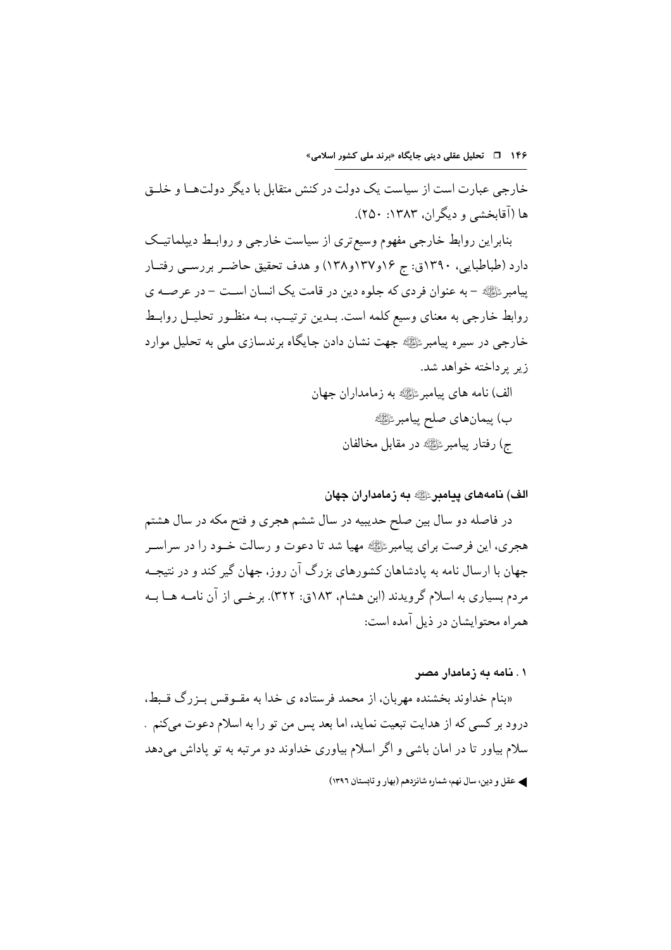خارجی عبارت است از سیاست یک دولت در کنش متقابل با دیگر دولت هـا و خلــق ها (آقابخشی و دیگران، ۱۳۸۳: ۲۵۰).

بنابراین روابط خارجی مفهوم وسیع تری از سیاست خارجی و روابـط دیپلماتیـک دارد (طباطبایی، ۱۳۹۰ق: ج ۱۶و۱۳۷و۱۳۸) و هدف تحقیق حاضـر بررســی رفتــار پیامبر ﷺ - به عنوان فردی که جلوه دین در قامت یک انسان است – در عرصـه ی روابط خارجی به معنای وسیع کلمه است. بـدین ترتیـب، بــه منظــور تحلیــل روابــط خارجي در سيره پيامبرﷺ جهت نشان دادن جايگاه برندسازي ملي به تحليل موارد زیر بر داخته خواهد شد.

> الف) نامه هاي پيامبر ﷺ به زمامداران جهان ب) ييمانِهاي صلح ييامبرﷺ ج) رفتار پيامبرﷺ در مقابل مخالفان

#### الف) نامەھاي پيامبرﷺ به زمامداران جهان

در فاصله دو سال بین صلح حدیبیه در سال ششم هجری و فتح مکه در سال هشتم هجری، این فرصت برای پیامبر ﷺ مهیا شد تا دعوت و رسالت خــود را در سراســر جهان با ارسال نامه به پادشاهان کشورهای بزرگ آن روز، جهان گیر کند و در نتیجــه مردم بسیاری به اسلام گرویدند (ابن هشام، ۱۸۳ق: ۳۲۲). برخــی از آن نامــه هــا بــه همراه محتوابشان در ذبل آمده است:

۰۱ نامه به زمامدار مصر

«بنام خداوند بخشنده مهربان، از محمد فرستاده ی خدا به مقـوقس بـزرگ قـبط. درود بر كسى كه از هدايت تبعيت نمايد، اما بعد پس من تو را به اسلام دعوت مىكنم . سلام بیاور تا در امان باشی و اگر اسلام بیاوری خداوند دو مرتبه به تو یاداش میدهد

**که عقل و دین، سال نهم، شماره شانزدهم (بهار و تابستان ۱۳۹**۲)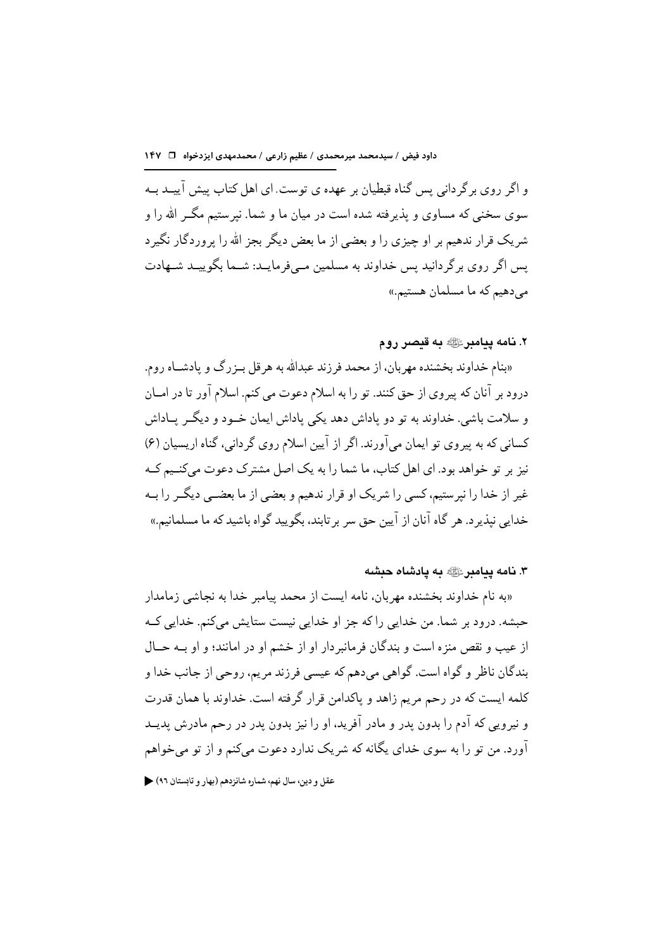و اگر روی بر گردانی سن گناه قبطیان بر عهده ی توست. ای اهل کتاب بیش آییــد بــه سوی سخنی که مساوی و پذیرفته شده است در میان ما و شما. نیرستیم مگــر الله را و شریک قرار ندهیم بر او جیزی را و بعضی از ما بعض دیگر بجز الله را بروردگار نگیر د پس اگر روی برگردانید پس خداوند به مسلمین مـیفرمایـد: شـما بگوییـد شـهادت می دهیم که ما مسلمان هستیم.»

۲. نامه ییامبرﷺ به قبصر روم

«بنام خداوند بخشنده مهربان، از محمد فرزند عبدالله به هرقل بـزرگ و يادشـاه روم. درود بر آنان که پیروی از حق کنند. تو را به اسلام دعوت می کنم. اسلام آور تا در امــان و سلامت باشی. خداوند به تو دو یاداش دهد یکی یاداش ایمان خــود و دیگــر پــاداش کسانی که به پیروی تو ایمان میآورند. اگر از آیین اسلام روی گردانی، گناه اریسیان (۶) نیز بر تو خواهد بود. ای اهل کتاب، ما شما را به یک اصل مشترک دعوت می کنـیم کـه غیر از خدا را نیرستیم، کسی را شریک او قرار ندهیم و بعضی از ما بعضـبی دیگــر را بــه خدایی نیذیر د. هر گاه آنان از آیین حق سر بر تابند، بگویید گواه باشید که ما مسلمانیم.»

۳. نامه بیامبر ﷺ به یادشاه جیشه

«به نام خداوند بخشنده مهربان، نامه ايست از محمد پيامبر خدا به نجاشي زمامدار حبشه. درود بر شما. من خدایی را که جز او خدایی نیست ستایش میکنم. خدایی کـه از عيب و نقص منز ه است و بندگان فرمانبر دار او از خشم او در امانند؛ و او بــه حــال بندگان ناظر و گواه است. گواهي مي دهم كه عيسى فرزند مريم، روحي از جانب خدا و کلمه ایست که در رحم مریم زاهد و پاکدامن قرار گرفته است. خداوند با همان قدرت و نیرویی که آدم را بدون پدر و مادر آفرید، او را نیز بدون پدر در رحم مادرش پدیــد آورد. من تو را به سوی خدای یگانه که شریک ندارد دعوت می کنم و از تو می خواهم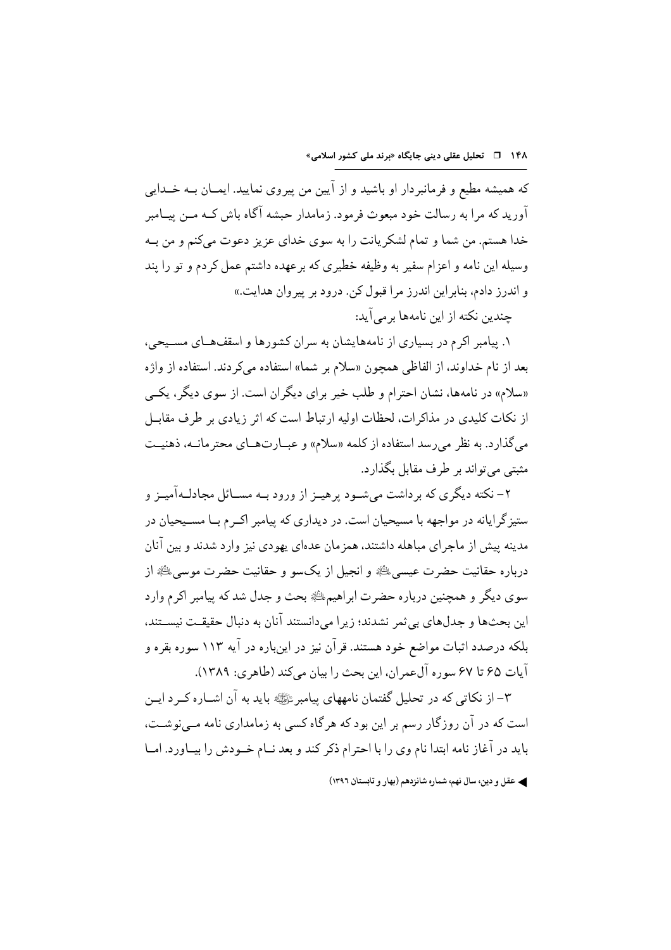که همیشه مطیع و فرمانبردار او باشید و از آیین من پیروی نمایید. ایمــان بــه خــدایی .<br>آورید که مرا به رسالت خود مبعوث فرمود. زمامدار حبشه آگاه باش کــه مــن پیــامبر خدا هستم. من شما و تمام لشکر یانت را به سوی خدای عزیز دعوت میکنم و من بـه وسیله این نامه و اعزام سفیر به وظیفه خطیری که بر عهده داشتم عمل کردم و تو را بند و اندرز دادم، بنابراین اندرز مرا قبول کن. درود بر پیروان هدایت.» جندین نکته از این نامهها بر می آید:

۱. پیامبر اکرم در بسیاری از نامههایشان به سران کشورها و اسقفهای مسـیحی، بعد از نام خداوند، از الفاظي همچون «سلام بر شما» استفاده ميكردند. استفاده از واژه «سلام» در نامهها، نشان احترام و طلب خیر برای دیگران است. از سوی دیگر، یک<sub>می</sub> از نکات کلیدی در مذاکر ات، لحظات اولیه ارتباط است که اثر زیادی بر طرف مقابـل می گذارد. به نظر می رسد استفاده از کلمه «سلام» و عبــارتهــای محتر مانــه، ذهنیــت مثبتی می تواند بر طرف مقابل بگذارد.

۲– نکته دیگری که برداشت میشـود پرهیــز از ورود بــه مســائل مجادلــهآمیــز و ستیز گر ایانه در مواجهه با مسیحیان است. در دیداری که پیامبر اکـرم بـا مســیحیان در مدینه پیش از ماجرای مباهله داشتند، همزمان عدهای یهودی نیز وارد شدند و بین آنان درباره حقانيت حضرت عيسى ﷺ و انجيل از يکسو و حقانيت حضرت موسى ﷺ از سوي ديگر و همچنين درباره حضرت ابراهيم، الله بحث و جدل شد كه پيامبر اكرم وارد این بحثها و جدلهای بی ثمر نشدند؛ زیرا میدانستند آنان به دنبال حقیقـت نیســتند، بلکه درصدد اثبات مواضع خود هستند. قرآن نیز در اینباره در آیه ۱۱۳ سوره بقره و آيات ۶۵ تا ۶۷ سوره آلءمران، اين بحث را بيان مي كند (طاهري: ۱۳۸۹).

۳– از نکاتی که در تحلیل گفتمان نامههای پیامبرﷺ باید به آن اشـاره کــرد ایــن است که در آن روزگار رسم بر این بود که هرگاه کسی به زمامداری نامه مــینوشــت، باید در آغاز نامه ابتدا نام وی را با احترام ذکر کند و بعد نــام خــودش را بیــاورد. امــا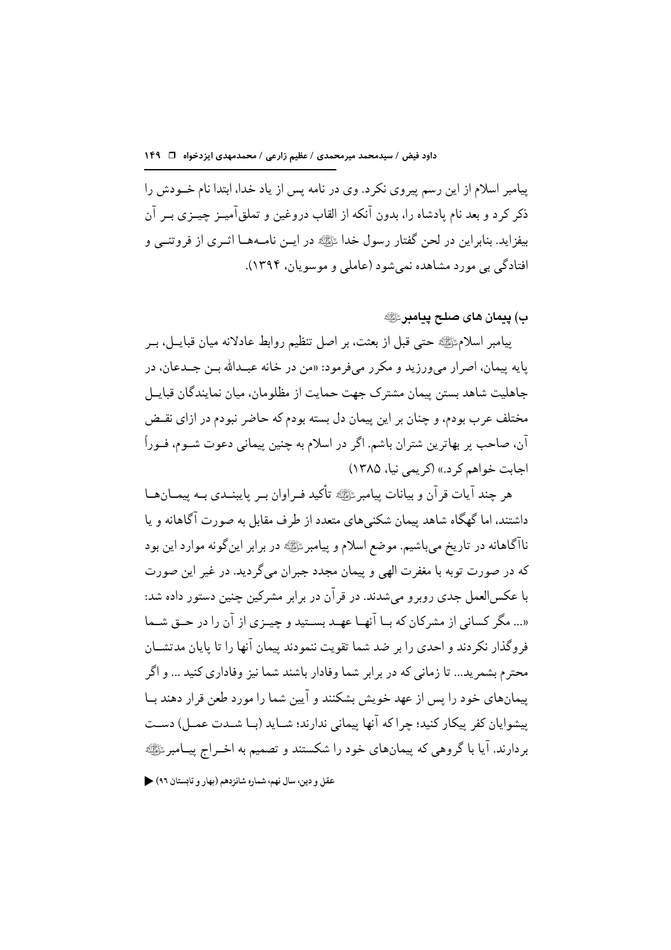پیامبر اسلام از این رسم پیروی نکرد. وی در نامه پس از یاد خدا، ابتدا نام خــودش را ذکر کرد و بعد نام یادشاه را، بدون آنکه از القاب دروغین و تملقآمیــز چیــزی بــر آن بيفزايد. بنابراين در لحن گفتار رسول خدا ﷺ در ايـن نامـههـا اثـري از فروتنــي و افتادگی پی مورد مشاهده نمر شود (عاملی و موسویان، ۱۳۹۴).

ب) يىمان ھاي صلح ييامبرﷺ

ييامبر اسلامﷺ حتى قبل از بعثت، بر اصل تنظيم روابط عادلانه ميان قبايــل، بــر پايه پيمان، اصرار مي ورزيد و مكرر مي فرمود: «من در خانه عبـدالله بـن جــدعان، در جاهلیت شاهد بستن پیمان مشترک جهت حمایت از مظلومان، میان نمایندگان قبایـل مختلف عرب بودم، و چنان بر این پیمان دل بسته بودم که حاضر نبودم در ازای نقبض آن، صاحب پر بهاترین شتران باشم. اگر در اسلام به چنین پیمانی دعوت شــوم، فــوراً اجابت خواهم کر د.» (کر یمی نیا، ۱۳۸۵)

هر چند آیات قر آن و بیانات پیامبر ﷺ تأکید فیراوان بسر پایبنیدی بیه پیمیان هیا داشتند، اما گهگاه شاهد پیمان شکنیهای متعدد از طرف مقابل به صورت آگاهانه و یا ناآگاهانه در تاریخ می باشیم. موضع اسلام و پیامبر ﷺ در برابر این گونه موارد این بود كه در صورت توبه با مغفرت الهي و پيمان مجدد جبران مي گرديد. در غير اين صورت با عکس العمل جدی روبر و می شدند. در قر آن در بر ابر مشرکین جنین دستور داده شد: «... مگر کسانی از مشرکان که بــا آنهــا عهــد بســتید و چیــزی از آن را در حــق شــما فرو گذار نکر دند و احدی را بر ضد شما تقویت ننمودند پیمان آنها را تا پایان مدتشــان محترم بشمر يد... تا زماني كه در بر ابر شما وفادار باشند شما نيز وفاداري كنيد ... و اگر ییمانهای خود را پس از عهد خویش بشکنند و آیین شما را مورد طعن قرار دهند بـا ييشوايان كفر ييكار كنيد؛ چراكه آنها ييماني ندارند؛ شـايد (بـا شــدت عمــل) دسـت بردارند. آیا با گروهی که پیمانهای خود را شکستند و تصمیم به اخــراج پیــامبرﷺ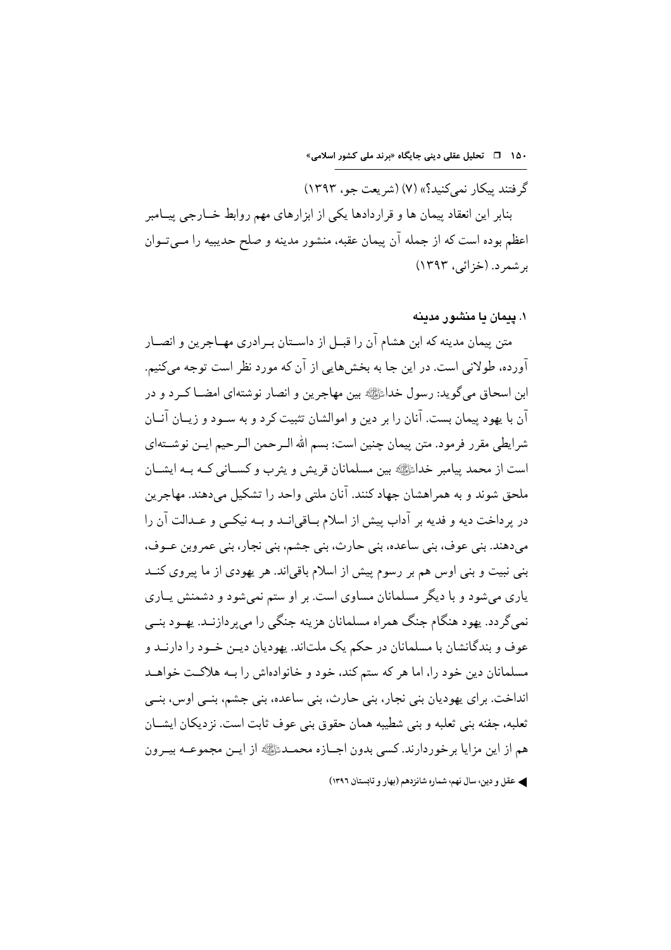گر فتند بیکار نمے کنید؟» (۷) (شریعت جو، ۱۳۹۳) بنابر این انعقاد پیمان ها و قراردادها یکی از ابزارهای مهم روابط خــارجی پیــامبر اعظم بوده است که از جمله آن پیمان عقبه، منشور مدینه و صلح حدیبیه را مـبيتـوان بر شمر د. (خزائر، ۱۳۹۳)

#### ۱. بیمان یا منشور مدینه

متن پیمان مدینه که ابن هشام آن را قبــل از داســتان بــرادری مهــاجرین و انصــار آورده، طولانی است. در این جا به بخشهایی از آن که مورد نظر است توجه میکنیم. ابن اسحاق مي گويد: رسول خدائلﷺ بين مهاجرين و انصار نوشتهاي امضــا كــر د و در آن با یهود پیمان بست. آنان را بر دین و اموالشان تثبیت کرد و به سـود و زیــان آنــان شرايطي مقرر فرمود. متن ييمان چنين است: بسم الله الـرحمن الـرحيم ايــن نوشــتهاي است از محمد پیامبر خداءًﷺ بین مسلمانان قریش و پثرب و کســانی کــه بــه ایشــان ملحق شوند و به همراهشان جهاد کنند. آنان ملتی واحد را تشکیل می دهند. مهاجرین در پرداخت ديه و فديه بر آداب پيش از اسلام بــاقى|نــد و بــه نيكــى و عــدالت آن را مي دهند. ٻني عوف، ٻني ساعده، ٻني حارث، ٻني جشم، ٻني نجار، ٻني عمر وٻن عــوف، بنی نبیت و بنی اوس هم بر رسوم پیش از اسلام باقی|ند. هر یهودی از ما پیروی کنــد یاری می شود و با دیگر مسلمانان مساوی است. بر او ستم نمیشود و دشمنش یــاری نمي گردد. يهود هنگام جنگ همراه مسلمانان هزينه جنگي را مي پردازنـد. يهــود بنــي عوف و بندگانشان با مسلمانان در حکم یک ملتاند. یهودیان دیـن خـود را دارنــد و مسلمانان دین خود را، اما هر که ستم کند، خود و خانوادهاش را بـه هلاکـت خواهــد انداخت. براي پهوديان بني نجار، بني حارث، بني ساعده، بني جشم، بنـي اوس، بنـي ثعلبه، جفنه بني ثعلبه و بني شطيبه همان حقوق بني عوف ثابت است. نز ديكان ايشــان هم از اين مزايا برخوردارند. كسي بدون اجــازه محمــدﷺ از ايــن مجموعــه بيــرون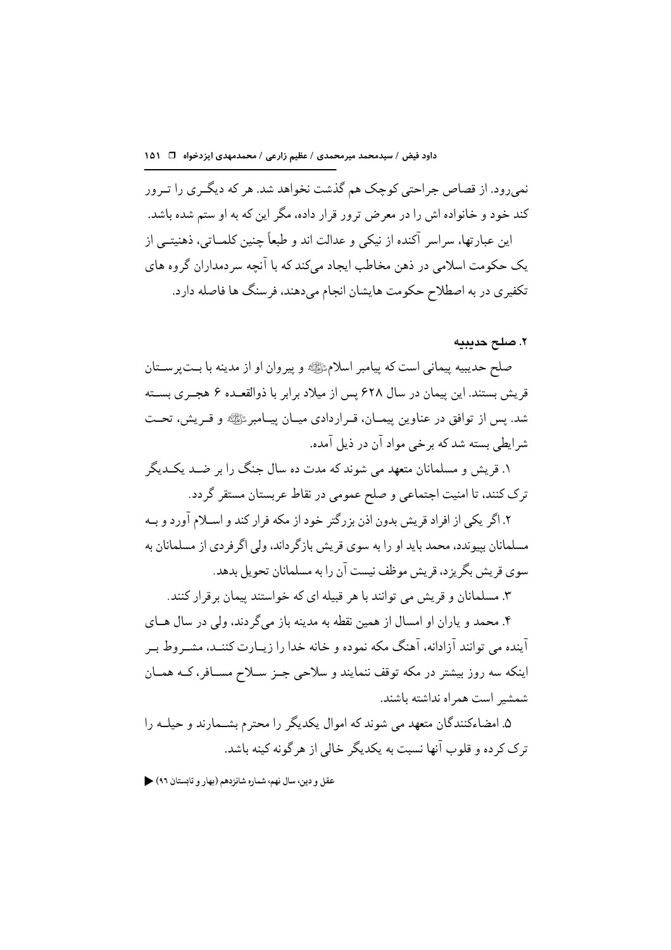نمیرود. از قصاص جراحتی کوچک هم گذشت نخواهد شد. هر که دیگـری را تـرور کند خود و خانواده اش را در معرض ترور قرار داده، مگر این که به او ستم شده باشد. این عبارتها، سراسر آکنده از نیکی و عدالت اند و طبعاً جنین کلمــاتی، ذهنیتــی از یک حکومت اسلامی در ذهن مخاطب ایجاد می کند که با آنحه سر دمداران گروه های تکفیری در به اصطلاح حکومت هایشان انجام می دهند، فرسنگ ها فاصله دارد.

#### ٢. صلح حديبيه

صلح حديبيه پيماني است كه پيامبر اسلامﷺ و پيروان او از مدينه با بـتپرســتان قریش بستند. این پیمان در سال ۶۲۸ پس از میلاد برابر با ذوالقعـده ۶ هجـری بسـته شد. پس از توافق در عناوین پیمـان، قـراردادي ميـان پيـامبرئﷺ و قـريش، تحـت شرایطی بسته شد که برخی مواد آن در ذیل آمده.

۱. قریش و مسلمانان متعهد می شوند که مدت ده سال جنگ را بر ضـد یکـدیگر ترک کنند، تا امنیت اجتماعی و صلح عمومی در نقاط عربستان مستقر گردد.

۲. اگر یکی از افراد قریش بدون اذن بزرگتر خود از مکه فرار کند و اســلام آورد و بــه مسلمانان بیوندد، محمد باید او را به سوی قریش بازگر داند، ولی اگر فردی از مسلمانان به سوی قریش بگریز د، قریش موظف نیست آن را به مسلمانان تحویل بدهد.

۳. مسلمانان و قریش می توانند با هر قبیله ای که خواستند پیمان برقرار کنند.

۴. محمد و یاران او امسال از همین نقطه به مدینه باز می گردند، ولی در سال هــای آینده می توانند آزادانه، آهنگ مکه نموده و خانه خدا را زیــارت کننــد، مشــر وط بــر اینکه سه روز بیشتر در مکه توقف ننمایند و سلاحی جـز سـلاح مســافر، کــه همــان شمشير است همراه نداشته باشند.

۵. امضاءکنندگان متعهد می شوند که اموال یکدیگر را محترم بشـمارند و حیلــه را ترک کر ده و قلوب آنها نسبت به یکدیگر خالی از هر گونه کینه باشد.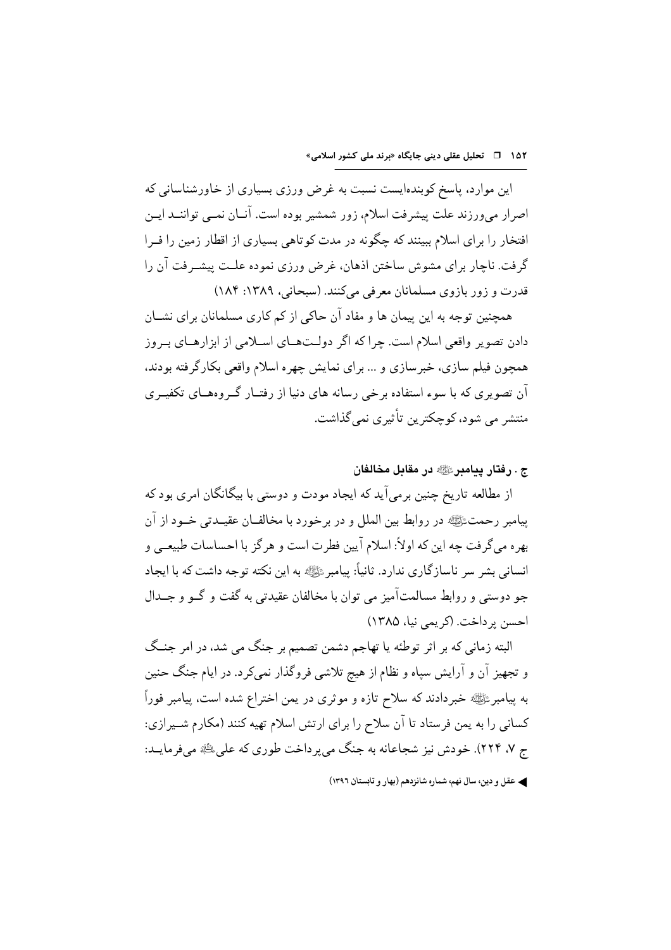این موارد، پاسخ کوبندهایست نسبت به غرض ورزی بسیاری از خاورشناسانه که اصرار میورزند علت پیشرفت اسلام، زور شمشیر بوده است. آنـان نمــی تواننــد ایــن افتخار را برای اسلام ببینند که حگونه در مدت کوتاهی بسیاری از اقطار زمین را فـرا گرفت. ناجار برای مشوش ساختن اذهان، غرض ورزی نموده علـت پیشـرفت آن را قدرت و زور بازوي مسلمانان معرفي مي كنند. (سبحاني، ١٣٨٩: ١٨۴)

همحنین توجه به این بیمان ها و مفاد آن حاکی از کم کاری مسلمانان برای نشــان دادن تصویر واقعی اسلام است. چراکه اگر دولـتهـای اسـلامی از ابزارهـای بـروز همچون فیلم سازی، خبرسازی و ... برای نمایش چهره اسلام واقعی بکارگرفته بودند، آن تصویری که با سوءِ استفاده برخی رسانه های دنیا از رفتــار گــروههــای تکفیــری منتشر مے ِ شو د، کو حکتر ین تأثیر ی نمے گذاشت.

ج . رفتار يىامىر ﷺ در مقاىل مخالفان

از مطالعه تاریخ چنین برمیآید که ایجاد مودت و دوستی با بیگانگان امری بود که پیامبر رحمتﷺ در روابط بین الملل و در برخورد با مخالفـان عقیــدتی خــود از آن بهره مي گرفت چه اين كه اولاً: اسلام آيين فطرت است و هر گز با احساسات طبيعـي و انسانی بشر سر ناسازگاری ندارد. ثانیاً: بیامبر ﷺ به این نکته توجه داشت که با ایجاد جو دوستي و روابط مسالمتآميز مي توان با مخالفان عقيدتي به گفت و گــو و جــدال احسن پر داخت. (کر یمی نیا، ۱۳۸۵)

البته زمانی که بر اثر توطئه یا تهاجم دشمن تصمیم بر جنگ می شد، در امر جنگ و تجهیز آن و آرایش سپاه و نظام از هیچ تلاشی فروگذار نمیکرد. در ایام جنگ حنین به پیامبرﷺ خبردادند که سلاح تازه و موثری در یمن اختراع شده است، پیامبر فوراً کسانی را به یمن فرستاد تا آن سلاح را برای ارتش اسلام تهیه کنند (مکارم شـیرازی: ج ۷، ۲۲۴). خودش نیز شجاعانه به جنگ می پرداخت طوری که علی ﷺ می فرمایـد: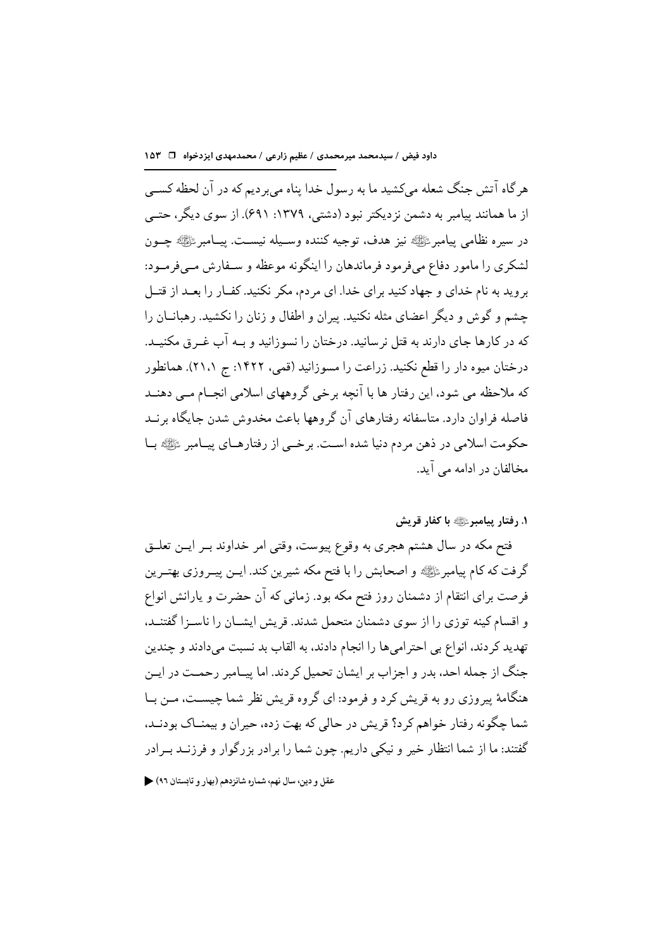هر گاه آتش جنگ شعله میکشید ما به رسول خدا پناه می بر دیم که در آن لحظه کسبی از ما همانند پیامبر به دشمن نزدیکتر نبود (دشتی، ۱۳۷۹: ۶۹۱). از سوی دیگر، حتــی در سيره نظامي بيامبر ﷺ نيز هدف، توجيه كننده وسـيله نيسـت. بيــامبر ﷺ حــون لشکری را مامور دفاع مے فرمود فرماندهان را اینگونه موعظه و سـفارش مـے فرمـود: بروید به نام خدای و جهاد کنید برای خدا. ای مردم، مکر نکنید. کفـار را بعـد از قتــل جشم و گوش و دیگر اعضای مثله نکنید. پیران و اطفال و زنان را نکشید. رهبانــان را که در کارها جای دارند به قتل نرسانید. درختان را نسوزانید و بـه آب غـرق مکنیـد. درختان میوه دار را قطع نکنید. زراعت را مسوزانید (قمی، ۱۴۲۲: ج ۲۱،۱). همانطور که ملاحظه می شود، این رفتار ها با آنچه برخی گروههای اسلامی انجــام مــی دهنــد فاصله فراوان دارد. متاسفانه رفتارهای آن گروهها باعث مخدوش شدن جایگاه برنــد حکومت اسلامی در ذهن مردم دنیا شده اسـت. برخــی از رفتارهــای پیــامبر ﷺ بــا مخالفان در ادامه می آید.

١. رفتار پيامبرﷺ با كفار قريش

فتح مکه در سال هشتم هجری به وقوع پیوست، وقتی امر خداوند بـر ایــن تعلــق گرفت که کام پیامبرﷺ و اصحابش را با فتح مکه شیرین کند. ایــن پیــروزی بهتــرین فرصت برای انتقام از دشمنان روز فتح مکه بود. زمانی که آن حضرت و یارانش انواع و اقسام کینه توزی را از سوی دشمنان متحمل شدند. قریش ایشــان را ناســزا گفتنــد، تهدید کردند، انواع بی احترامیها را انجام دادند، به القاب بد نسبت میدادند و چندین جنگ از جمله احد، بدر و اجزاب بر ایشان تحمیل کر دند. اما پیـامبر رحمـت در ایـن هنگامهٔ پیروزی رو به قریش کرد و فرمود: ای گروه قریش نظر شما چیست، مــن بــا شما چگونه رفتار خواهم كرد؟ قريش در حالي كه بهت زده، حيران و بيمنــاك بودنــد، گفتند: ما از شما انتظار خیر و نیکی داریم. چون شما را بر ادر بز رگوار و فرزنــد بــرادر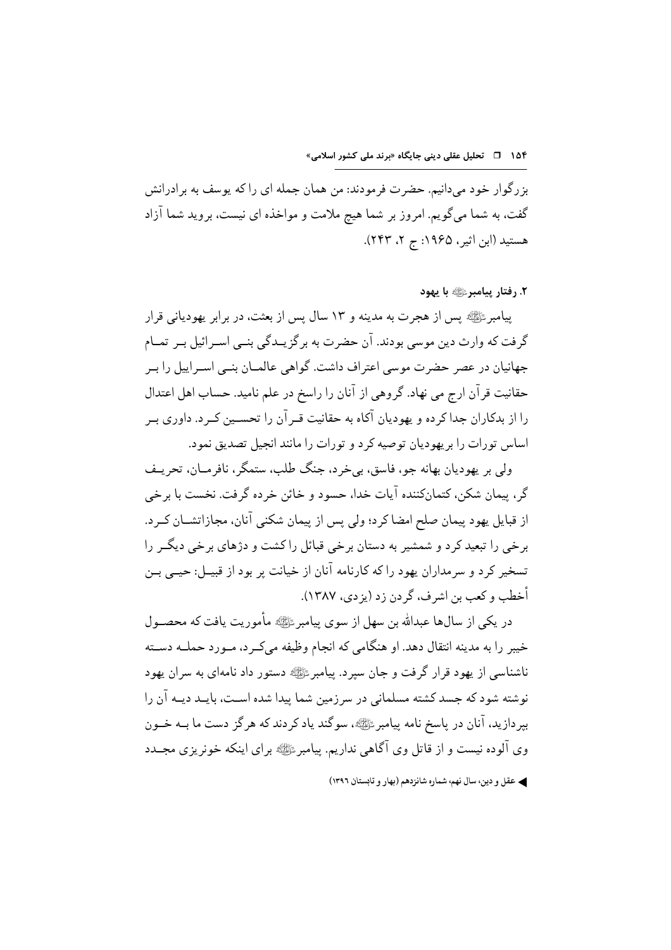بزرگوار خود می دانیم. حضرت فرمودند: من همان جمله ای را که پوسف به برادرانش گفت، به شما می گویم. امروز بر شما هیچ ملامت و مواخذه ای نیست، بروید شما آزاد هستید (ابن اثیر ، ۱۹۶۵: ج ۲، ۲۴۳).

٢. رفتار پيامبرﷺ با يهود

بيامبر ﷺ بين از هجرت به مدينه و ١٣ سال بس از بعثت، در برابر يهودياني قرار گرفت که وارث دین موسی بودند. آن حضرت به بر گزیــدگی بنــی اســرائیل بــر تمــام جهانیان در عصر حضرت موسی اعتراف داشت. گواهی عالمـان بنـبی اسـراییل را بـر حقانیت قرآن ارج می نهاد. گروهی از آنان را راسخ در علم نامید. حساب اهل اعتدال را از بدکاران جدا کرده و یهودیان آکاه به حقانیت قــرآن را تحســین کــرد. داوری بــر اساس تورات را بر یهودیان توصیه کرد و تورات را مانند انجیل تصدیق نمود.

ولي ٻر پهوديان بهانه جو، فاسق، ٻي خرد، جنگ طلب، ستمگر، نافرمــان، تحريــف گر، پيمان شكن، كتمانكننده آيات خدا، حسود و خائن خرده گرفت. نخست با برخي از قبایل یهود پیمان صلح امضا کرد؛ ولی پس از پیمان شکنی آنان، مجازاتشــان کــرد. برخی را تبعید کرد و شمشیر به دستان برخی قبائل راکشت و دژهای برخی دیگــر را تسخیر کرد و سرمداران یهود را که کارنامه آنان از خیانت بر بود از قبیــل: حیــی بــن أخطب و كعب بن اشر ف، گر دن زد (يز دي، ۱۳۸۷).

در یکی از سالها عبدالله بن سهل از سوی پیامبر ﷺ مأموریت یافت که محصــول خيبر را به مدينه انتقال دهد. او هنگامي كه انجام وظيفه مي كـر د، مـورد حملــه دســته ناشناسی از یهود قرار گرفت و جان سیرد. پیامبر ﷺ دستور داد نامهای به سران یهود نوشته شود که جسد کشته مسلمانی در سرزمین شما پیدا شده اسـت، بایـد دیـه آن را بیردازید، آنان در پاسخ نامه پیامبرﷺ، سوگند یاد کردند که هرگز دست ما بــه خــون وي آلوده نيست و از قاتل وي آگاهي نداريم. پيامبر ﷺ پر اي اينكه خونريزي مجــدد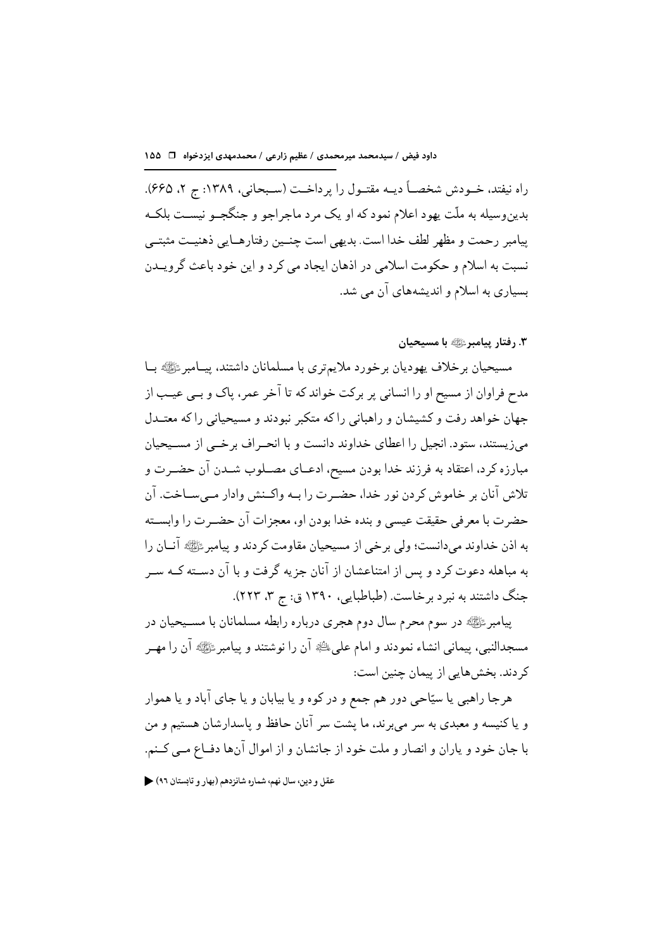راه نيفتد، خــودش شخصــاً ديــه مقتــول را پرداخــت (ســبحاني، ١٣٨٩: ج ٢، ٤۶۵). بدین وسیله به ملّت یهود اعلام نمود که او یک مرد ماجراجو و جنگجــو نیســت بلکــه بيامبر رحمت و مظهر لطف خدا است. بديهي است جنسين رفتارهــايي ذهنيــت مثبتــي نسبت به اسلام و حکومت اسلامی در اذهان ایجاد می کر د و این خود باعث گر ویــدن بسیاری به اسلام و اندیشههای آن می شد.

۳. رفتار پیامبرﷺ با مسیحیان

مسيحيان برخلاف يهوديان برخورد ملايمتري با مسلمانان داشتند، ييــامبرﷺ بــا مدح فراوان از مسیح او را انسانی پر برکت خواند که تا آخر عمر، پاک و بــی عیــب از جهان خواهد رفت و کشیشان و راهبانی را که متکبر نبودند و مسیحیانی را که معتــدل می;زیستند، ستود. انجیل را اعطای خداوند دانست و با انحـر اف برخــی از مســیحیان مبارزه كرد، اعتقاد به فرزند خدا بودن مسيح، ادعــاي مصــلوب شــدن آن حضــرت و تلاش آنان بر خاموش كردن نور خدا، حضـرت را بــه واكــنش وادار مــىســاخت. آن حضرت با معرفي حقيقت عيسى و بنده خدا بودن او، معجزات آن حضـرت را وابســته به اذن خداوند می دانست؛ ولی بر خی از مسیحیان مقاومت کر دند و پیامبر ﷺ آنــان را به مباهله دعوت کرد و پس از امتناعشان از آنان جزیه گرفت و با آن دسـته کــه ســر جنگ داشتند به نبرد برخاست. (طباطبایی، ۱۳۹۰ ق: ج ۳، ۲۲۳).

پیامبر ﷺ در سوم محرم سال دوم هجری درباره رابطه مسلمانان با مسـیحیان در مسجدالنبي، پيماني انشاء نمودند و امام علي ﷺ أن را نوشتند و پيامبر ﷺ أن را مهـر کر دند. بخش هایی از بیمان چنین است:

هرجا راهبی یا سیّاحی دور هم جمع و در کوه و یا بیابان و یا جای آباد و یا هموار و یا کنیسه و معبدی به سر میبرند، ما پشت سر آنان حافظ و پاسدارشان هستیم و من با جان خود و ياران و انصار و ملت خود از جانشان و از اموال آنها دفــاع مــي كــنم.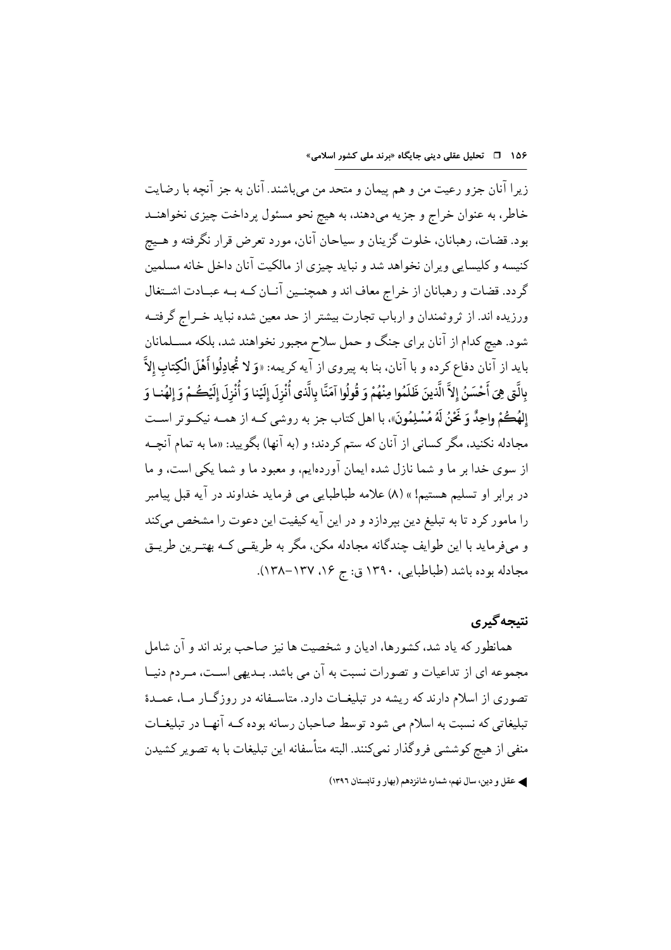زيرا آنان جزو رعيت من و هم پيمان و متحد من ميباشند. آنان به جز آنچه با رضايت خاطر، به عنوان خراج و جزیه میدهند، به هیچ نحو مسئول پرداخت چیزی نخواهنــد بود. قضات، رهبانان، خلوت گزینان و سیاحان آنان، مورد تعرض قرار نگرفته و هـیج کنیسه و کلیسایی ویران نخواهد شد و نباید چیزی از مالکیت آنان داخل خانه مسلمین گردد. قضات و رهبانان از خراج معاف اند و همچنـین آنـان کـه بـه عبـادت اشـتغال ورزیده اند. از ثروثمندان و ارباب تجارت بیشتر از حد معین شده نباید خــراج گرفتــه شود. هیچ کدام از آنان برای جنگ و حمل سلاح مجبور نخواهند شد، بلکه مســلمانان بايد از آنان دفاع كرده و با آنان. بنا به پيروي از آيه كريمه: «وَ لا تُجادِلُوا أَهْلَ الْكِتابِ إِلاَّ بِالَّتِي هِيَ أَحْسَنُ إِلاَّ الَّذينَ ظَلَمُوا مِنْهُمْ وَ قُولُوا آمَنَّا بِالَّذي أُنْزِلَ إِلَيْهِ وَالْه أ إِلهُكُمْ واحِدٌّ وَ نَحْنُ لَهُ مُسْلِمُونَ»، با اهل كتاب جز به روشي كــه از همــه نيكــوتر اســت مجادله نکنید، مگر کسانی از آنان که ستم کردند؛ و (به آنها) بگویید: «ما به تمام آنچـه از سوی خدا بر ما و شما نازل شده ایمان آوردهایم، و معبود ما و شما یکی است، و ما در برابر او تسلیم هستیم! » (۸) علامه طباطبایی می فرماید خداوند در آیه قبل پیامبر را مامور کرد تا به تبلیغ دین بپردازد و در این آیه کیفیت این دعوت را مشخص میکند و میفرماید با این طوایف چندگانه مجادله مکن، مگر به طریقـی کــه بهتـرین طریــق مجادله بوده باشد (طباطبایی، ۱۳۹۰ ق: ج ۱۶، ۱۳۷–۱۳۸).

## نتىجە گىر ي

همانطور که یاد شد، کشورها، ادیان و شخصیت ها نیز صاحب برند اند و آن شامل مجموعه ای از تداعیات و تصورات نسبت به آن می باشد. بــدیهی اســت، مــر دم دنیــا تصوری از اسلام دارند که ریشه در تبلیغــات دارد. متاســفانه در روزگــار مــا، عمــدهٔ تبلیغاتی که نسبت به اسلام می شود توسط صاحبان رسانه بوده کـه آنهـا در تبلیغـات منفی از هیچ کوششی فروگذار نمی کنند. البته متأسفانه این تبلیغات با به تصویر کشیدن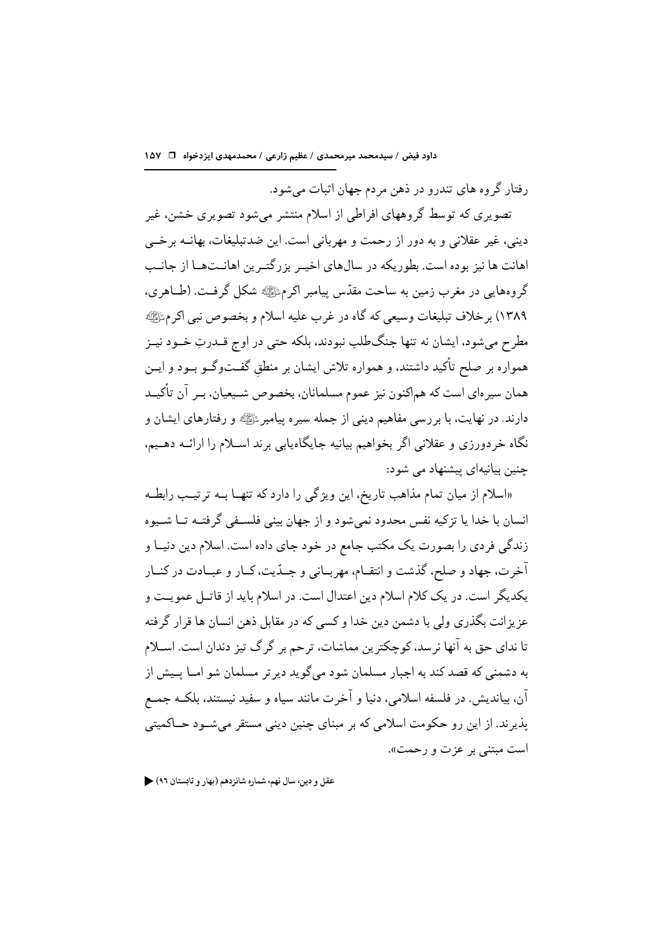رفتار گروه های تندرو در ذهن مردم جهان اثبات می شود.

تصویری که توسط گروههای افراطی از اسلام منتشر میشود تصویری خشن، غیر دینی، غیر عقلانی و به دور از رحمت و مهربانی است. این ضدتبلیغات، بهانــه برخــی اهانت ها نیز بوده است. بطور یکه در سال های اخب بزرگتبرین اهانیت هیا از جانب گروههایی در مغرب زمین به ساحت مقدّس پیامبر اکرمﷺ شکل گرفـت. (طــاهری، ١٣٨٩) بر خلاف تبليغات وسيعي كه گاه در غرب عليه اسلام و بخصوص نبي اكرمﷺ مطرح میشود، ایشان نه تنها جنگطلب نبودند، بلکه حتی در اوج قــدرتِ خــود نیــز همواره بر صلح تأکید داشتند، و همواره تلاش ایشان بر منطق گفــتوگــو بــود و ایــن همان سیر های است که هماکنون نیز عموم مسلمانان، بخصوص شـیعیان، بـر آن تأکیـد دارند. در نهایت، با بر رسی مفاهیم دینی از جمله سیره پیامبر ﷺ و رفتارهای ایشان و نگاه خردورزی و عقلانی اگر بخواهیم بیانیه جایگاهیابی برند اسـلام را ارائــه دهــیم، چنین بیانیهای پیشنهاد می شود:

«اسلام از میان تمام مذاهب تاریخ، این ویژگی را دارد که تنهـا بــه ترتیـب رابطـه انسان با خدا يا تزكيه نفس محدود نمي شود و از جهان بيني فلسـفي گرفتــه تــا شــيوه زندگی فردی را بصورت یک مکتب جامع در خود جای داده است. اسلام دین دنیــا و آخرت، جهاد و صلح، گذشت و انتقـام، مهربــاني و جــدّيت، كــار و عبــادت در كنــار یکدیگر است. در یک کلام اسلام دین اعتدال است. در اسلام باید از قاتـل عمویـت و عزیزانت بگذری ولی با دشمن دین خدا و کسی که در مقابل ذهن انسان ها قرار گرفته تا نداي حق به آنها نرسد، کوچکترين مماشات، ترحم بر گرگ تيز دندان است. اســلام به دشمنی که قصد کند به اجبار مسلمان شود می گوید دیر تر مسلمان شو امــا پــیش از آن، بیاندیش. در فلسفه اسلامی، دنیا و آخرت مانند سیاه و سفید نیستند، بلکـه جمـع يذير ند. از اين رو حكومت اسلامي كه بر مبناي چنين ديني مستقر مي شـود حــاكميتي است مبتنے پر عزت و رحمت».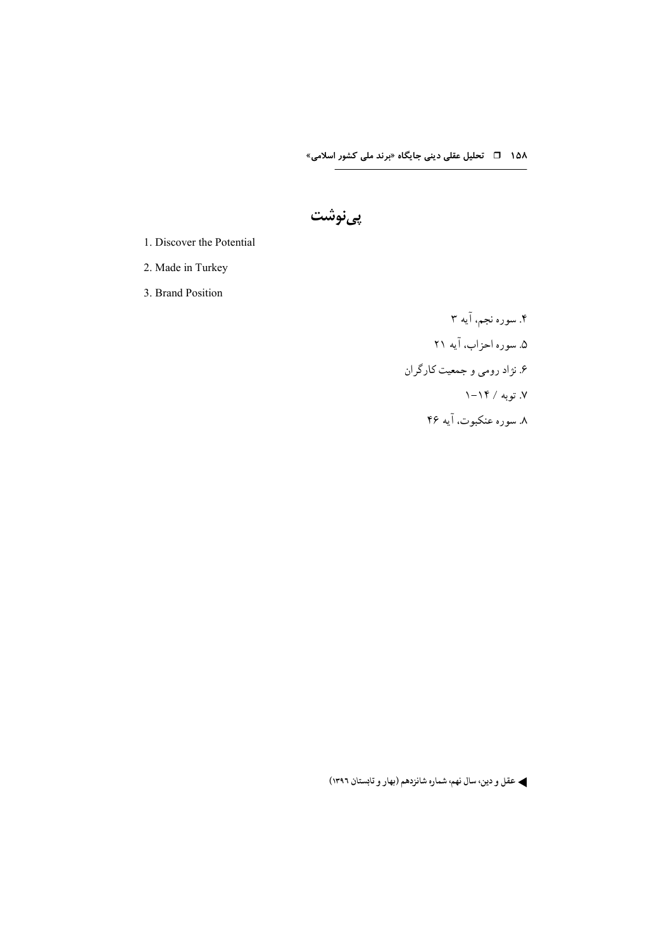پىنوشت

1. Discover the Potential

2. Made in Turkey

3. Brand Position

۴. سوره نجم، آیه ۳ ۵. سوره احزاب، آیه ۲۱ ۶. نژاد رومی و جمعیت کارگران ۷. توبه / ۱۴–۱ ۸. سوره عنکبوت، آیه ۴۶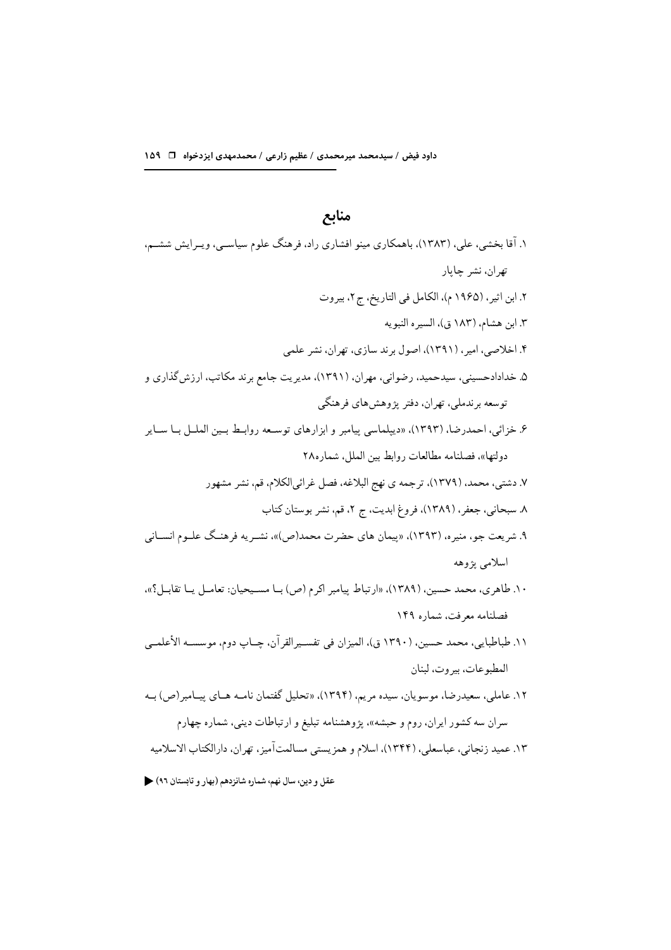## منابع

| ۱. آقا بخشی، علی، (۱۳۸۳)، باهمکاری مینو افشاری راد، فرهنگ علوم سیاسـی، ویـرایش ششـم،           |
|------------------------------------------------------------------------------------------------|
| تهران، نشر چاپار                                                                               |
| ۲. ابن اثیر، (۱۹۶۵ م)، الکامل فی التاریخ، ج۲، بیروت                                            |
| ۳. ابن هشام، (۱۸۳ ق)، السيره النبويه                                                           |
| ۴. اخلاصی، امیر، (۱۳۹۱)، اصول برند سازی، تهران، نشر علمی                                       |
| ۵. خدادادحسینی، سیدحمید، رضوانی، مهران، (۱۳۹۱)، مدیریت جامع برند مکاتب، ارزش گذاری و           |
| توسعه برندملي، تهران، دفتر پژوهشهاي فرهنگي                                                     |
| ۶. خزائی، احمدرضا، (۱۳۹۳)، «دیپلماسی پیامبر و ابزارهای توسـعه روابـط بــین الملــل بــا ســایر |
| دولتها»، فصلنامه مطالعات روابط بين الملل، شماره٢٨                                              |
| ۷. دشتی، محمد، (۱۳۷۹)، ترجمه ی نهج البلاغه، فصل غرائیالکلام، قم، نشر مشهور                     |
| ۸. سبحانی، جعفر، (۱۳۸۹)، فروغ ابدیت، ج ۲، قم، نشر بوستان کتاب                                  |
| ۹. شریعت جو، منیره، (۱۳۹۳)، «پیمان های حضرت محمد(ص)»، نشــریه فرهنــگ علــوم انســانی          |
| اسلامي پژوهه                                                                                   |
| ۱۰. طاهري، محمد حسين، (۱۳۸۹)، «ارتباط پيامبر اكرم (ص) بــا مســيحيان: تعامــل يــا تقابــل؟»،  |
| فصلنامه معرفت، شماره ۱۴۹                                                                       |
| ۱۱. طباطبایی، محمد حسین، (۱۳۹۰ ق)، المیزان فی تفســیرالقرآن، چــاپ دوم، موسســه الأعلمــی      |
| المطبوعات، بيروت، لبنان                                                                        |
| ۱۲. عاملی، سعیدرضا، موسویان، سیده مریم، (۱۳۹۴)، «تحلیل گفتمان نامـه هـای پیـامبر(ص) بــه       |
| سران سه کشور ایران، روم و حبشه»، پژوهشنامه تبلیغ و ارتباطات دینی، شماره چهارم                  |
| ۱۳. عمید زنجانی، عباسعلی، (۱۳۴۴)، اسلام و همزیستی مسالمتآمیز، تهران، دارالکتاب الاسلامیه       |
|                                                                                                |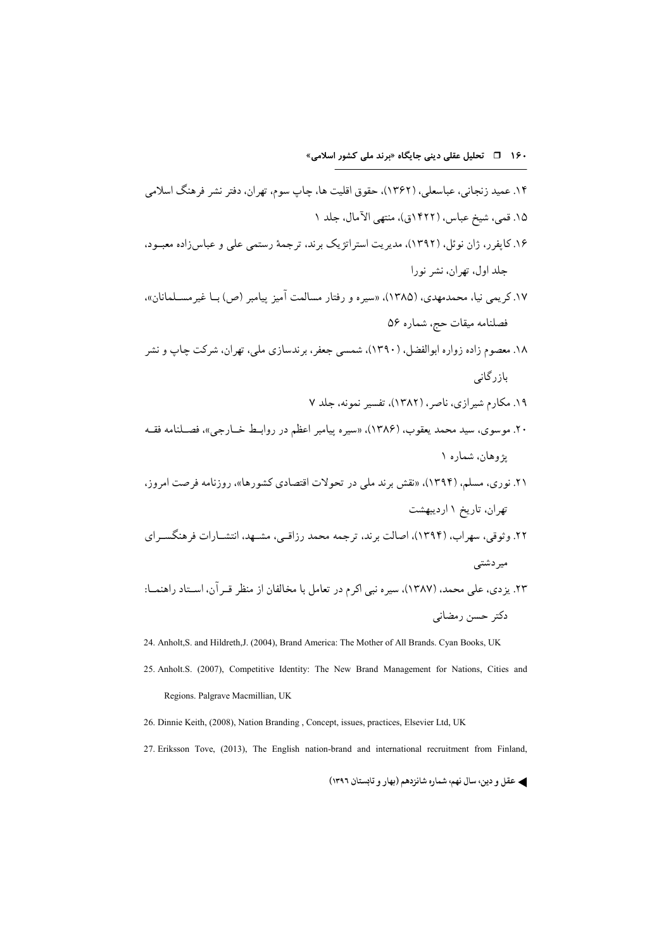24. Anholt, S. and Hildreth, J. (2004), Brand America: The Mother of All Brands. Cyan Books, UK

- 25. Anholt.S. (2007), Competitive Identity: The New Brand Management for Nations, Cities and Regions. Palgrave Macmillian, UK
- 26. Dinnie Keith, (2008), Nation Branding, Concept, issues, practices, Elsevier Ltd, UK

27. Eriksson Tove, (2013), The English nation-brand and international recruitment from Finland,